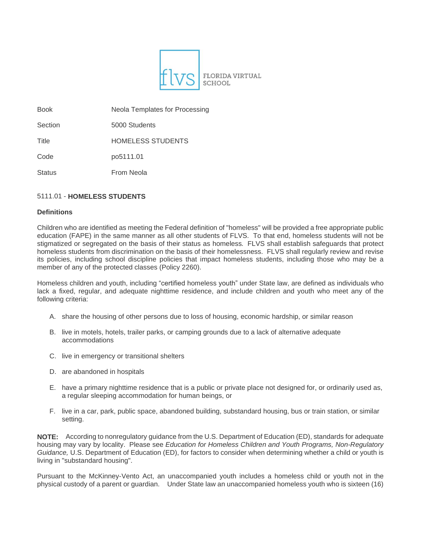

Book Neola Templates for Processing

Section 5000 Students

Title **HOMELESS STUDENTS** 

Code po5111.01

Status **From Neola** 

# 5111.01 - **HOMELESS STUDENTS**

# **Definitions**

Children who are identified as meeting the Federal definition of "homeless" will be provided a free appropriate public education (FAPE) in the same manner as all other students of FLVS. To that end, homeless students will not be stigmatized or segregated on the basis of their status as homeless*.* FLVS shall establish safeguards that protect homeless students from discrimination on the basis of their homelessness. FLVS shall regularly review and revise its policies, including school discipline policies that impact homeless students, including those who may be a member of any of the protected classes (Policy 2260).

Homeless children and youth, including "certified homeless youth" under State law, are defined as individuals who lack a fixed, regular, and adequate nighttime residence, and include children and youth who meet any of the following criteria:

- A. share the housing of other persons due to loss of housing, economic hardship, or similar reason
- B. live in motels, hotels, trailer parks, or camping grounds due to a lack of alternative adequate accommodations
- C. live in emergency or transitional shelters
- D. are abandoned in hospitals
- E. have a primary nighttime residence that is a public or private place not designed for, or ordinarily used as, a regular sleeping accommodation for human beings, or
- F. live in a car, park, public space, abandoned building, substandard housing, bus or train station, or similar setting.

**NOTE:** According to nonregulatory guidance from the U.S. Department of Education (ED), standards for adequate housing may vary by locality. Please see *Education for Homeless Children and Youth Programs, Non-Regulatory Guidance,* U.S. Department of Education (ED), for factors to consider when determining whether a child or youth is living in "substandard housing".

Pursuant to the McKinney-Vento Act, an unaccompanied youth includes a homeless child or youth not in the physical custody of a parent or guardian. Under State law an unaccompanied homeless youth who is sixteen (16)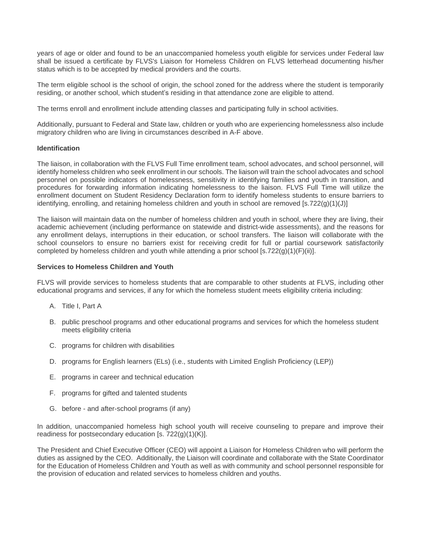years of age or older and found to be an unaccompanied homeless youth eligible for services under Federal law shall be issued a certificate by FLVS's Liaison for Homeless Children on FLVS letterhead documenting his/her status which is to be accepted by medical providers and the courts.

The term eligible school is the school of origin, the school zoned for the address where the student is temporarily residing, or another school, which student's residing in that attendance zone are eligible to attend.

The terms enroll and enrollment include attending classes and participating fully in school activities.

Additionally, pursuant to Federal and State law, children or youth who are experiencing homelessness also include migratory children who are living in circumstances described in A-F above.

#### **Identification**

The liaison, in collaboration with the FLVS Full Time enrollment team, school advocates, and school personnel, will identify homeless children who seek enrollment in our schools. The liaison will train the school advocates and school personnel on possible indicators of homelessness, sensitivity in identifying families and youth in transition, and procedures for forwarding information indicating homelessness to the liaison. FLVS Full Time will utilize the enrollment document on Student Residency Declaration form to identify homeless students to ensure barriers to identifying, enrolling, and retaining homeless children and youth in school are removed [s.722(g)(1)(J)]

The liaison will maintain data on the number of homeless children and youth in school, where they are living, their academic achievement (including performance on statewide and district-wide assessments), and the reasons for any enrollment delays, interruptions in their education, or school transfers. The liaison will collaborate with the school counselors to ensure no barriers exist for receiving credit for full or partial coursework satisfactorily completed by homeless children and youth while attending a prior school  $[s.722(q)(1)(F)(ii)].$ 

#### **Services to Homeless Children and Youth**

FLVS will provide services to homeless students that are comparable to other students at FLVS, including other educational programs and services, if any for which the homeless student meets eligibility criteria including:

- A. Title I, Part A
- B. public preschool programs and other educational programs and services for which the homeless student meets eligibility criteria
- C. programs for children with disabilities
- D. programs for English learners (ELs) (i.e., students with Limited English Proficiency (LEP))
- E. programs in career and technical education
- F. programs for gifted and talented students
- G. before and after-school programs (if any)

In addition, unaccompanied homeless high school youth will receive counseling to prepare and improve their readiness for postsecondary education [s. 722(g)(1)(K)].

The President and Chief Executive Officer (CEO) will appoint a Liaison for Homeless Children who will perform the duties as assigned by the CEO. Additionally, the Liaison will coordinate and collaborate with the State Coordinator for the Education of Homeless Children and Youth as well as with community and school personnel responsible for the provision of education and related services to homeless children and youths.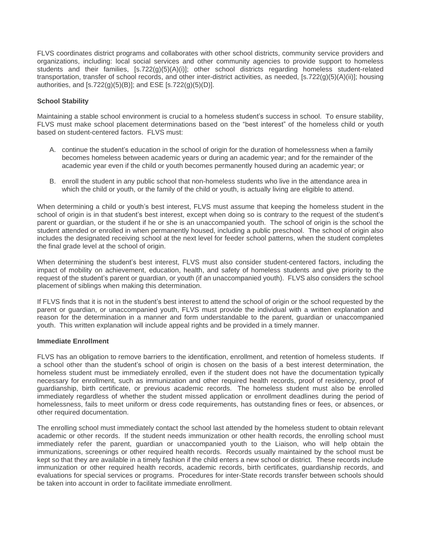FLVS coordinates district programs and collaborates with other school districts, community service providers and organizations, including: local social services and other community agencies to provide support to homeless students and their families, [s.722(g)(5)(A)(i)]; other school districts regarding homeless student-related transportation, transfer of school records, and other inter-district activities, as needed, [s.722(g)(5)(A)(ii)]; housing authorities, and [s.722(g)(5)(B)]; and ESE [s.722(g)(5)(D)].

# **School Stability**

Maintaining a stable school environment is crucial to a homeless student's success in school. To ensure stability, FLVS must make school placement determinations based on the "best interest" of the homeless child or youth based on student-centered factors. FLVS must:

- A. continue the student's education in the school of origin for the duration of homelessness when a family becomes homeless between academic years or during an academic year; and for the remainder of the academic year even if the child or youth becomes permanently housed during an academic year; or
- B. enroll the student in any public school that non-homeless students who live in the attendance area in which the child or youth, or the family of the child or youth, is actually living are eligible to attend.

When determining a child or youth's best interest, FLVS must assume that keeping the homeless student in the school of origin is in that student's best interest, except when doing so is contrary to the request of the student's parent or guardian, or the student if he or she is an unaccompanied youth. The school of origin is the school the student attended or enrolled in when permanently housed, including a public preschool. The school of origin also includes the designated receiving school at the next level for feeder school patterns, when the student completes the final grade level at the school of origin.

When determining the student's best interest, FLVS must also consider student-centered factors, including the impact of mobility on achievement, education, health, and safety of homeless students and give priority to the request of the student's parent or guardian, or youth (if an unaccompanied youth). FLVS also considers the school placement of siblings when making this determination.

If FLVS finds that it is not in the student's best interest to attend the school of origin or the school requested by the parent or guardian, or unaccompanied youth, FLVS must provide the individual with a written explanation and reason for the determination in a manner and form understandable to the parent, guardian or unaccompanied youth. This written explanation will include appeal rights and be provided in a timely manner.

## **Immediate Enrollment**

FLVS has an obligation to remove barriers to the identification, enrollment, and retention of homeless students. If a school other than the student's school of origin is chosen on the basis of a best interest determination, the homeless student must be immediately enrolled, even if the student does not have the documentation typically necessary for enrollment, such as immunization and other required health records, proof of residency, proof of guardianship, birth certificate, or previous academic records. The homeless student must also be enrolled immediately regardless of whether the student missed application or enrollment deadlines during the period of homelessness, fails to meet uniform or dress code requirements, has outstanding fines or fees, or absences, or other required documentation.

The enrolling school must immediately contact the school last attended by the homeless student to obtain relevant academic or other records. If the student needs immunization or other health records, the enrolling school must immediately refer the parent, guardian or unaccompanied youth to the Liaison, who will help obtain the immunizations, screenings or other required health records. Records usually maintained by the school must be kept so that they are available in a timely fashion if the child enters a new school or district. These records include immunization or other required health records, academic records, birth certificates, guardianship records, and evaluations for special services or programs. Procedures for inter-State records transfer between schools should be taken into account in order to facilitate immediate enrollment.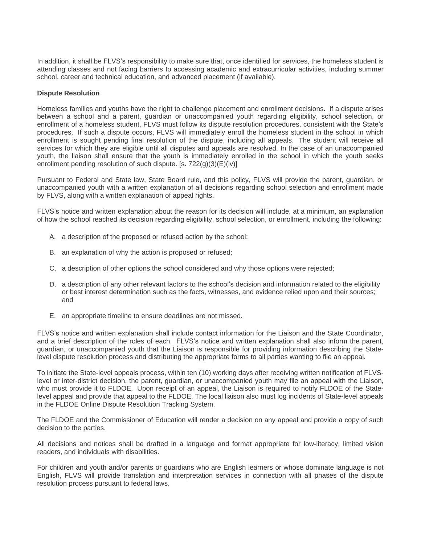In addition, it shall be FLVS's responsibility to make sure that, once identified for services, the homeless student is attending classes and not facing barriers to accessing academic and extracurricular activities, including summer school, career and technical education, and advanced placement (if available).

## **Dispute Resolution**

Homeless families and youths have the right to challenge placement and enrollment decisions. If a dispute arises between a school and a parent, guardian or unaccompanied youth regarding eligibility, school selection, or enrollment of a homeless student, FLVS must follow its dispute resolution procedures, consistent with the State's procedures. If such a dispute occurs, FLVS will immediately enroll the homeless student in the school in which enrollment is sought pending final resolution of the dispute, including all appeals. The student will receive all services for which they are eligible until all disputes and appeals are resolved. In the case of an unaccompanied youth, the liaison shall ensure that the youth is immediately enrolled in the school in which the youth seeks enrollment pending resolution of such dispute. [s. 722(g)(3)(E)(iv)]

Pursuant to Federal and State law, State Board rule, and this policy, FLVS will provide the parent, guardian, or unaccompanied youth with a written explanation of all decisions regarding school selection and enrollment made by FLVS, along with a written explanation of appeal rights.

FLVS's notice and written explanation about the reason for its decision will include, at a minimum, an explanation of how the school reached its decision regarding eligibility, school selection, or enrollment, including the following:

- A. a description of the proposed or refused action by the school;
- B. an explanation of why the action is proposed or refused;
- C. a description of other options the school considered and why those options were rejected;
- D. a description of any other relevant factors to the school's decision and information related to the eligibility or best interest determination such as the facts, witnesses, and evidence relied upon and their sources; and
- E. an appropriate timeline to ensure deadlines are not missed.

FLVS's notice and written explanation shall include contact information for the Liaison and the State Coordinator, and a brief description of the roles of each. FLVS's notice and written explanation shall also inform the parent, guardian, or unaccompanied youth that the Liaison is responsible for providing information describing the Statelevel dispute resolution process and distributing the appropriate forms to all parties wanting to file an appeal.

To initiate the State-level appeals process, within ten (10) working days after receiving written notification of FLVSlevel or inter-district decision, the parent, guardian, or unaccompanied youth may file an appeal with the Liaison, who must provide it to FLDOE. Upon receipt of an appeal, the Liaison is required to notify FLDOE of the Statelevel appeal and provide that appeal to the FLDOE. The local liaison also must log incidents of State-level appeals in the FLDOE Online Dispute Resolution Tracking System.

The FLDOE and the Commissioner of Education will render a decision on any appeal and provide a copy of such decision to the parties.

All decisions and notices shall be drafted in a language and format appropriate for low-literacy, limited vision readers, and individuals with disabilities.

For children and youth and/or parents or guardians who are English learners or whose dominate language is not English, FLVS will provide translation and interpretation services in connection with all phases of the dispute resolution process pursuant to federal laws.